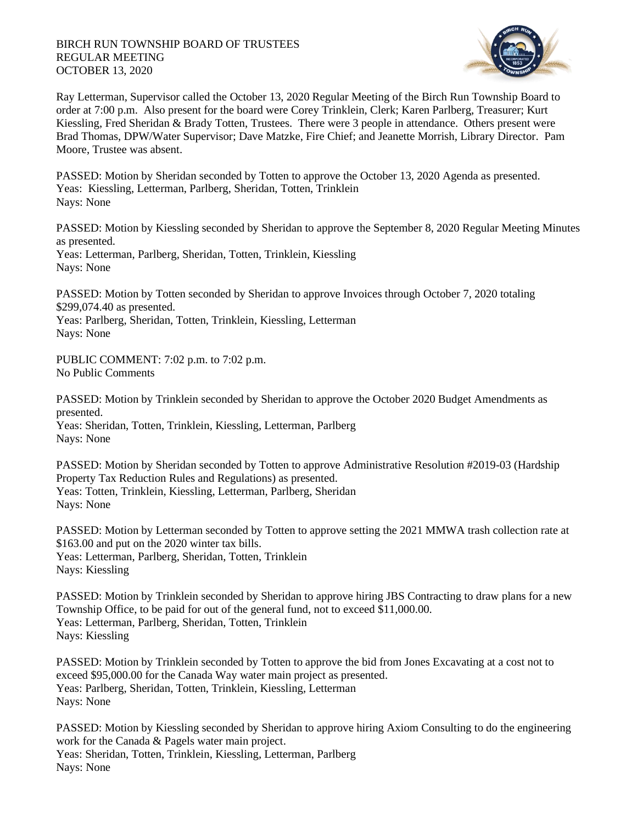## BIRCH RUN TOWNSHIP BOARD OF TRUSTEES REGULAR MEETING OCTOBER 13, 2020



Ray Letterman, Supervisor called the October 13, 2020 Regular Meeting of the Birch Run Township Board to order at 7:00 p.m. Also present for the board were Corey Trinklein, Clerk; Karen Parlberg, Treasurer; Kurt Kiessling, Fred Sheridan & Brady Totten, Trustees. There were 3 people in attendance. Others present were Brad Thomas, DPW/Water Supervisor; Dave Matzke, Fire Chief; and Jeanette Morrish, Library Director. Pam Moore, Trustee was absent.

PASSED: Motion by Sheridan seconded by Totten to approve the October 13, 2020 Agenda as presented. Yeas: Kiessling, Letterman, Parlberg, Sheridan, Totten, Trinklein Nays: None

PASSED: Motion by Kiessling seconded by Sheridan to approve the September 8, 2020 Regular Meeting Minutes as presented. Yeas: Letterman, Parlberg, Sheridan, Totten, Trinklein, Kiessling Nays: None

PASSED: Motion by Totten seconded by Sheridan to approve Invoices through October 7, 2020 totaling \$299,074.40 as presented.

Yeas: Parlberg, Sheridan, Totten, Trinklein, Kiessling, Letterman Nays: None

PUBLIC COMMENT: 7:02 p.m. to 7:02 p.m. No Public Comments

PASSED: Motion by Trinklein seconded by Sheridan to approve the October 2020 Budget Amendments as presented.

Yeas: Sheridan, Totten, Trinklein, Kiessling, Letterman, Parlberg Nays: None

PASSED: Motion by Sheridan seconded by Totten to approve Administrative Resolution #2019-03 (Hardship Property Tax Reduction Rules and Regulations) as presented. Yeas: Totten, Trinklein, Kiessling, Letterman, Parlberg, Sheridan Nays: None

PASSED: Motion by Letterman seconded by Totten to approve setting the 2021 MMWA trash collection rate at \$163.00 and put on the 2020 winter tax bills. Yeas: Letterman, Parlberg, Sheridan, Totten, Trinklein Nays: Kiessling

PASSED: Motion by Trinklein seconded by Sheridan to approve hiring JBS Contracting to draw plans for a new Township Office, to be paid for out of the general fund, not to exceed \$11,000.00. Yeas: Letterman, Parlberg, Sheridan, Totten, Trinklein Nays: Kiessling

PASSED: Motion by Trinklein seconded by Totten to approve the bid from Jones Excavating at a cost not to exceed \$95,000.00 for the Canada Way water main project as presented. Yeas: Parlberg, Sheridan, Totten, Trinklein, Kiessling, Letterman Nays: None

PASSED: Motion by Kiessling seconded by Sheridan to approve hiring Axiom Consulting to do the engineering work for the Canada & Pagels water main project. Yeas: Sheridan, Totten, Trinklein, Kiessling, Letterman, Parlberg Nays: None